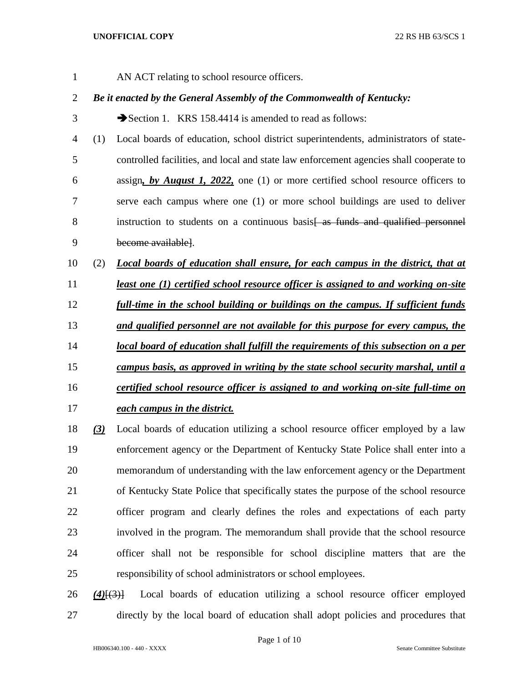AN ACT relating to school resource officers.

## *Be it enacted by the General Assembly of the Commonwealth of Kentucky:*

3 Section 1. KRS 158.4414 is amended to read as follows:

- (1) Local boards of education, school district superintendents, administrators of state- controlled facilities, and local and state law enforcement agencies shall cooperate to assign*, by August 1, 2022,* one (1) or more certified school resource officers to serve each campus where one (1) or more school buildings are used to deliver 8 instruction to students on a continuous basis as funds and qualified personnel become available].
- (2) *Local boards of education shall ensure, for each campus in the district, that at*
- *least one (1) certified school resource officer is assigned to and working on-site full-time in the school building or buildings on the campus. If sufficient funds*
- *and qualified personnel are not available for this purpose for every campus, the*
- *local board of education shall fulfill the requirements of this subsection on a per*
- *campus basis, as approved in writing by the state school security marshal, until a*
- *certified school resource officer is assigned to and working on-site full-time on each campus in the district.*
- *(3)* Local boards of education utilizing a school resource officer employed by a law enforcement agency or the Department of Kentucky State Police shall enter into a memorandum of understanding with the law enforcement agency or the Department of Kentucky State Police that specifically states the purpose of the school resource officer program and clearly defines the roles and expectations of each party involved in the program. The memorandum shall provide that the school resource officer shall not be responsible for school discipline matters that are the responsibility of school administrators or school employees.

 *(4)*[(3)] Local boards of education utilizing a school resource officer employed directly by the local board of education shall adopt policies and procedures that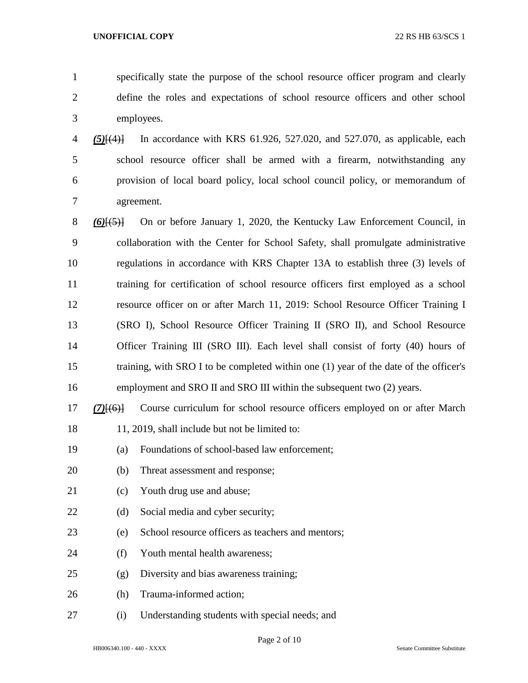specifically state the purpose of the school resource officer program and clearly define the roles and expectations of school resource officers and other school employees.

 *(5)*[(4)] In accordance with KRS 61.926, 527.020, and 527.070, as applicable, each school resource officer shall be armed with a firearm, notwithstanding any provision of local board policy, local school council policy, or memorandum of agreement.

 *(6)*[(5)] On or before January 1, 2020, the Kentucky Law Enforcement Council, in collaboration with the Center for School Safety, shall promulgate administrative regulations in accordance with KRS Chapter 13A to establish three (3) levels of training for certification of school resource officers first employed as a school resource officer on or after March 11, 2019: School Resource Officer Training I (SRO I), School Resource Officer Training II (SRO II), and School Resource 14 Officer Training III (SRO III). Each level shall consist of forty (40) hours of training, with SRO I to be completed within one (1) year of the date of the officer's employment and SRO II and SRO III within the subsequent two (2) years.

- *(7)*[(6)] Course curriculum for school resource officers employed on or after March 11, 2019, shall include but not be limited to:
- (a) Foundations of school-based law enforcement;
- (b) Threat assessment and response;
- (c) Youth drug use and abuse;
- 22 (d) Social media and cyber security;
- (e) School resource officers as teachers and mentors;
- 24 (f) Youth mental health awareness:
- (g) Diversity and bias awareness training;
- (h) Trauma-informed action;
- (i) Understanding students with special needs; and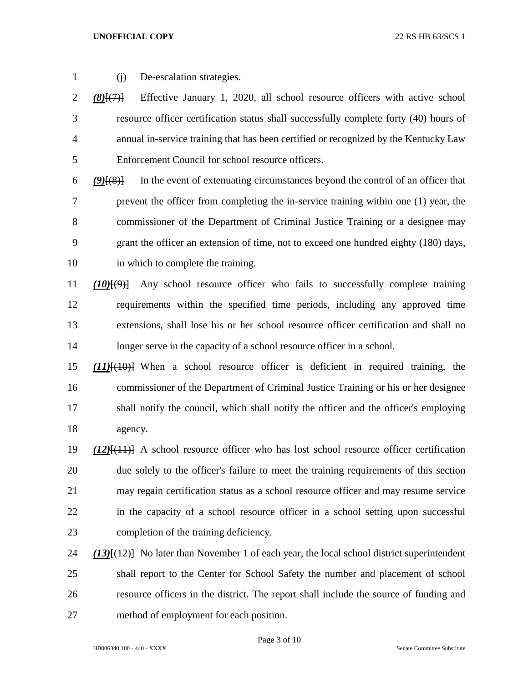(j) De-escalation strategies.

 *(8)*[(7)] Effective January 1, 2020, all school resource officers with active school resource officer certification status shall successfully complete forty (40) hours of annual in-service training that has been certified or recognized by the Kentucky Law Enforcement Council for school resource officers.

 *(9)*[(8)] In the event of extenuating circumstances beyond the control of an officer that prevent the officer from completing the in-service training within one (1) year, the commissioner of the Department of Criminal Justice Training or a designee may grant the officer an extension of time, not to exceed one hundred eighty (180) days, in which to complete the training.

 *(10)*[(9)] Any school resource officer who fails to successfully complete training requirements within the specified time periods, including any approved time extensions, shall lose his or her school resource officer certification and shall no 14 longer serve in the capacity of a school resource officer in a school.

 *(11)*[(10)] When a school resource officer is deficient in required training, the commissioner of the Department of Criminal Justice Training or his or her designee shall notify the council, which shall notify the officer and the officer's employing agency.

 *(12)*[(11)] A school resource officer who has lost school resource officer certification due solely to the officer's failure to meet the training requirements of this section may regain certification status as a school resource officer and may resume service in the capacity of a school resource officer in a school setting upon successful completion of the training deficiency.

 *(13)*[(12)] No later than November 1 of each year, the local school district superintendent shall report to the Center for School Safety the number and placement of school resource officers in the district. The report shall include the source of funding and method of employment for each position.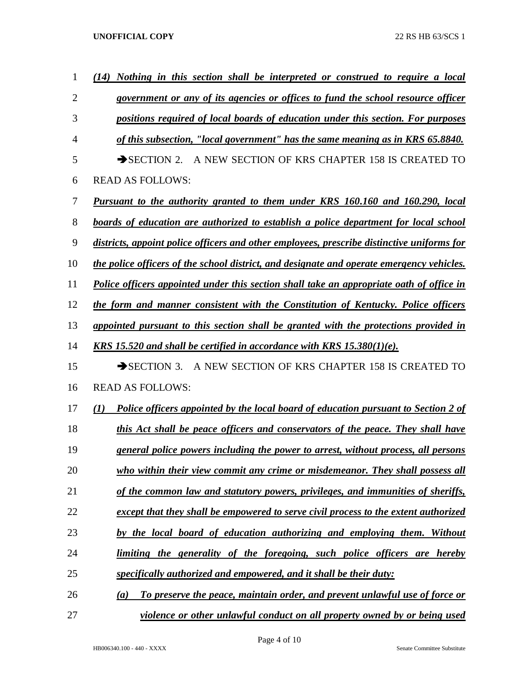| $\mathbf{1}$   | (14) Nothing in this section shall be interpreted or construed to require a local          |
|----------------|--------------------------------------------------------------------------------------------|
| $\overline{2}$ | government or any of its agencies or offices to fund the school resource officer           |
| 3              | positions required of local boards of education under this section. For purposes           |
| $\overline{4}$ | of this subsection, "local government" has the same meaning as in KRS 65.8840.             |
| 5              | A NEW SECTION OF KRS CHAPTER 158 IS CREATED TO<br>$\rightarrow$ SECTION 2.                 |
| 6              | <b>READ AS FOLLOWS:</b>                                                                    |
| 7              | Pursuant to the authority granted to them under KRS 160.160 and 160.290, local             |
| 8              | boards of education are authorized to establish a police department for local school       |
| 9              | districts, appoint police officers and other employees, prescribe distinctive uniforms for |
| 10             | the police officers of the school district, and designate and operate emergency vehicles.  |
| 11             | Police officers appointed under this section shall take an appropriate oath of office in   |
| 12             | the form and manner consistent with the Constitution of Kentucky. Police officers          |
| 13             | appointed pursuant to this section shall be granted with the protections provided in       |
| 14             | KRS 15.520 and shall be certified in accordance with KRS $15.380(1)(e)$ .                  |
| 15             | A NEW SECTION OF KRS CHAPTER 158 IS CREATED TO<br>$\rightarrow$ SECTION 3.                 |
| 16             | <b>READ AS FOLLOWS:</b>                                                                    |
| 17             | Police officers appointed by the local board of education pursuant to Section 2 of<br>(I)  |
| 18             | this Act shall be peace officers and conservators of the peace. They shall have            |
| 19             | general police powers including the power to arrest, without process, all persons          |
| 20             | who within their view commit any crime or misdemeanor. They shall possess all              |
| 21             | of the common law and statutory powers, privileges, and immunities of sheriffs,            |
| 22             | except that they shall be empowered to serve civil process to the extent authorized        |
| 23             | by the local board of education authorizing and employing them. Without                    |
| 24             | limiting the generality of the foregoing, such police officers are hereby                  |
| 25             | specifically authorized and empowered, and it shall be their duty:                         |
| 26             | To preserve the peace, maintain order, and prevent unlawful use of force or<br>(a)         |
| 27             | violence or other unlawful conduct on all property owned by or being used                  |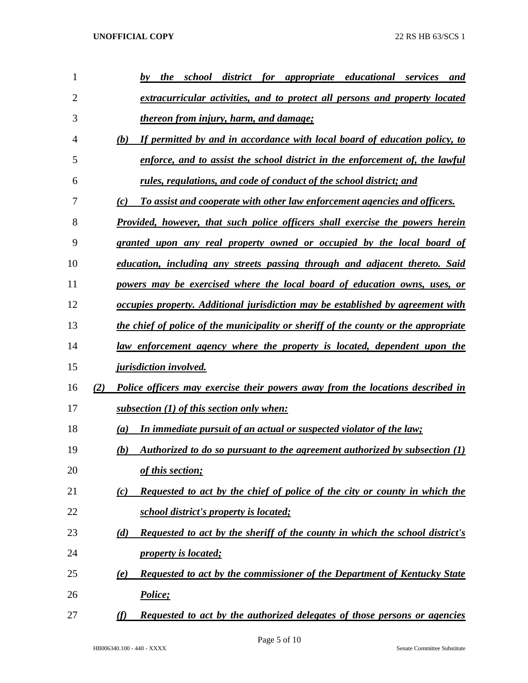| 1              |     | district for appropriate educational<br>the<br>school<br>services<br>bv<br>and         |
|----------------|-----|----------------------------------------------------------------------------------------|
| $\overline{2}$ |     | extracurricular activities, and to protect all persons and property located            |
| 3              |     | <i>thereon from injury, harm, and damage;</i>                                          |
| 4              |     | If permitted by and in accordance with local board of education policy, to<br>(b)      |
| 5              |     | enforce, and to assist the school district in the enforcement of, the lawful           |
| 6              |     | rules, regulations, and code of conduct of the school district; and                    |
| 7              |     | To assist and cooperate with other law enforcement agencies and officers.<br>(c)       |
| 8              |     | Provided, however, that such police officers shall exercise the powers herein          |
| 9              |     | granted upon any real property owned or occupied by the local board of                 |
| 10             |     | education, including any streets passing through and adjacent thereto. Said            |
| 11             |     | powers may be exercised where the local board of education owns, uses, or              |
| 12             |     | occupies property. Additional jurisdiction may be established by agreement with        |
| 13             |     | the chief of police of the municipality or sheriff of the county or the appropriate    |
| 14             |     | law enforcement agency where the property is located, dependent upon the               |
| 15             |     | <i>jurisdiction involved.</i>                                                          |
| 16             | (2) | Police officers may exercise their powers away from the locations described in         |
| 17             |     | subsection $(1)$ of this section only when:                                            |
| 18             |     | In immediate pursuit of an actual or suspected violator of the law;<br>(a)             |
| 19             |     | Authorized to do so pursuant to the agreement authorized by subsection $(1)$<br>(b)    |
| 20             |     | of this section;                                                                       |
| 21             |     | Requested to act by the chief of police of the city or county in which the<br>(c)      |
| 22             |     | school district's property is located;                                                 |
| 23             |     | Requested to act by the sheriff of the county in which the school district's<br>(d)    |
| 24             |     | <i>property is located;</i>                                                            |
| 25             |     | <b>Requested to act by the commissioner of the Department of Kentucky State</b><br>(e) |
| 26             |     | Police;                                                                                |
| 27             |     | Requested to act by the authorized delegates of those persons or agencies<br>(f)       |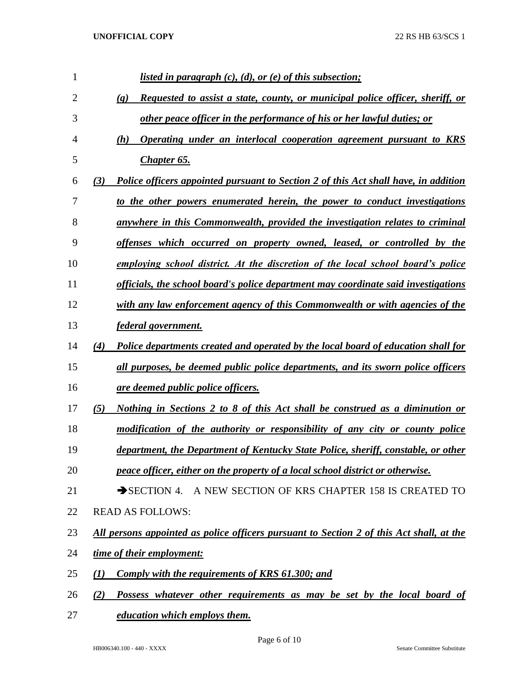| $\mathbf{1}$   | <u>listed in paragraph <math>(c)</math>, <math>(d)</math>, or <math>(e)</math> of this subsection;</u>       |
|----------------|--------------------------------------------------------------------------------------------------------------|
| $\overline{2}$ | Requested to assist a state, county, or municipal police officer, sheriff, or<br>$\left( \mathbf{g} \right)$ |
| 3              | other peace officer in the performance of his or her lawful duties; or                                       |
| 4              | Operating under an interlocal cooperation agreement pursuant to KRS<br>(h)                                   |
| 5              | <b>Chapter 65.</b>                                                                                           |
| 6              | Police officers appointed pursuant to Section 2 of this Act shall have, in addition<br>(3)                   |
| 7              | to the other powers enumerated herein, the power to conduct investigations                                   |
| 8              | anywhere in this Commonwealth, provided the investigation relates to criminal                                |
| 9              | offenses which occurred on property owned, leased, or controlled by the                                      |
| 10             | employing school district. At the discretion of the local school board's police                              |
| 11             | officials, the school board's police department may coordinate said investigations                           |
| 12             | with any law enforcement agency of this Commonwealth or with agencies of the                                 |
| 13             | <i>federal government.</i>                                                                                   |
| 14             | (4)<br>Police departments created and operated by the local board of education shall for                     |
| 15             | all purposes, be deemed public police departments, and its sworn police officers                             |
| 16             | are deemed public police officers.                                                                           |
| 17             | Nothing in Sections 2 to 8 of this Act shall be construed as a diminution or<br>(5)                          |
| 18             | modification of the authority or responsibility of any city or county police                                 |
| 19             | department, the Department of Kentucky State Police, sheriff, constable, or other                            |
| 20             | peace officer, either on the property of a local school district or otherwise.                               |
| 21             | SECTION 4. A NEW SECTION OF KRS CHAPTER 158 IS CREATED TO                                                    |
| 22             | <b>READ AS FOLLOWS:</b>                                                                                      |
| 23             | All persons appointed as police officers pursuant to Section 2 of this Act shall, at the                     |
| 24             | time of their employment:                                                                                    |
| 25             | Comply with the requirements of KRS 61.300; and<br>(I)                                                       |
| 26             | Possess whatever other requirements as may be set by the local board of<br>(2)                               |

*education which employs them.*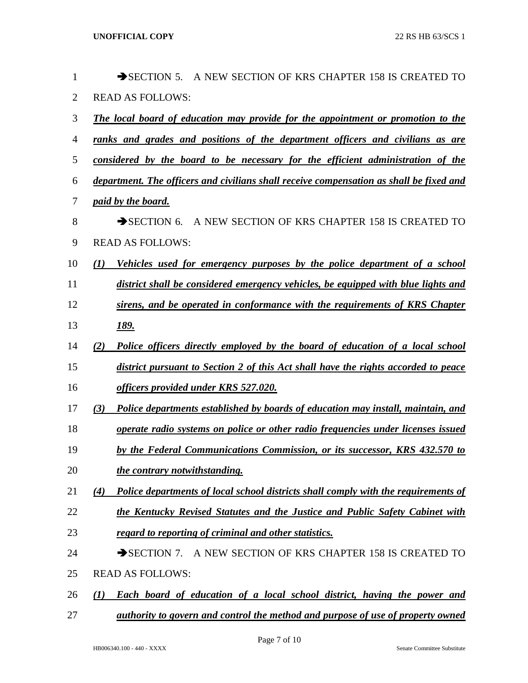| $\mathbf{1}$   |     | SECTION 5. A NEW SECTION OF KRS CHAPTER 158 IS CREATED TO                               |
|----------------|-----|-----------------------------------------------------------------------------------------|
| $\overline{2}$ |     | <b>READ AS FOLLOWS:</b>                                                                 |
| 3              |     | The local board of education may provide for the appointment or promotion to the        |
| $\overline{4}$ |     | ranks and grades and positions of the department officers and civilians as are          |
| 5              |     | considered by the board to be necessary for the efficient administration of the         |
| 6              |     | department. The officers and civilians shall receive compensation as shall be fixed and |
| $\tau$         |     | <u>paid by the board.</u>                                                               |
| 8              |     | SECTION 6. A NEW SECTION OF KRS CHAPTER 158 IS CREATED TO                               |
| 9              |     | <b>READ AS FOLLOWS:</b>                                                                 |
| 10             | (I) | Vehicles used for emergency purposes by the police department of a school               |
| 11             |     | district shall be considered emergency vehicles, be equipped with blue lights and       |
| 12             |     | sirens, and be operated in conformance with the requirements of KRS Chapter             |
| 13             |     | <u>189.</u>                                                                             |
| 14             | (2) | Police officers directly employed by the board of education of a local school           |
| 15             |     | district pursuant to Section 2 of this Act shall have the rights accorded to peace      |
| 16             |     | officers provided under KRS 527.020.                                                    |
| 17             | (3) | Police departments established by boards of education may install, maintain, and        |
| 18             |     | operate radio systems on police or other radio frequencies under licenses issued        |
| 19             |     | by the Federal Communications Commission, or its successor, KRS 432.570 to              |
| 20             |     | the contrary notwithstanding.                                                           |
| 21             | (4) | Police departments of local school districts shall comply with the requirements of      |
| 22             |     | the Kentucky Revised Statutes and the Justice and Public Safety Cabinet with            |
| 23             |     | regard to reporting of criminal and other statistics.                                   |
| 24             |     | SECTION 7. A NEW SECTION OF KRS CHAPTER 158 IS CREATED TO                               |
| 25             |     | <b>READ AS FOLLOWS:</b>                                                                 |
| 26             | (I) | <b>Each board of education of a local school district, having the power and</b>         |
| 27             |     | authority to govern and control the method and purpose of use of property owned         |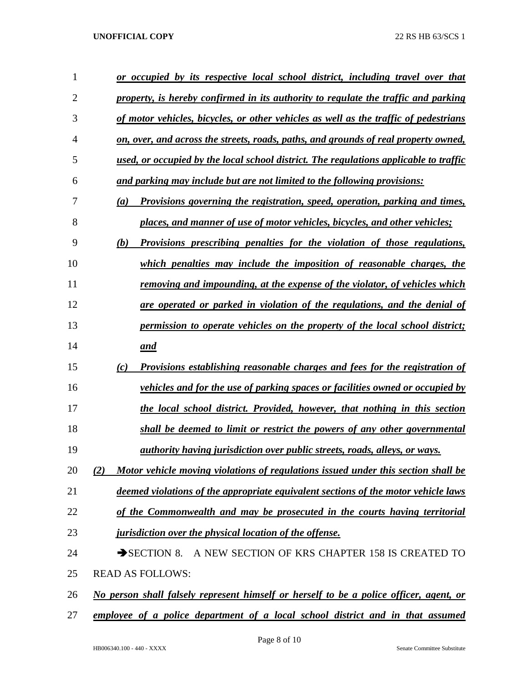| 1              | or occupied by its respective local school district, including travel over that            |
|----------------|--------------------------------------------------------------------------------------------|
| $\overline{2}$ | property, is hereby confirmed in its authority to regulate the traffic and parking         |
| 3              | of motor vehicles, bicycles, or other vehicles as well as the traffic of pedestrians       |
| 4              | <u>on, over, and across the streets, roads, paths, and grounds of real property owned,</u> |
| 5              | used, or occupied by the local school district. The regulations applicable to traffic      |
| 6              | and parking may include but are not limited to the following provisions:                   |
| 7              | Provisions governing the registration, speed, operation, parking and times,<br>(a)         |
| 8              | places, and manner of use of motor vehicles, bicycles, and other vehicles;                 |
| 9              | <b>Provisions prescribing penalties for the violation of those regulations,</b><br>(b)     |
| 10             | which penalties may include the imposition of reasonable charges, the                      |
| 11             | <u>removing and impounding, at the expense of the violator, of vehicles which</u>          |
| 12             | are operated or parked in violation of the regulations, and the denial of                  |
| 13             | permission to operate vehicles on the property of the local school district;               |
| 14             | and                                                                                        |
| 15             | <b>Provisions establishing reasonable charges and fees for the registration of</b><br>(c)  |
| 16             | <u>vehicles and for the use of parking spaces or facilities owned or occupied by</u>       |
| 17             | the local school district. Provided, however, that nothing in this section                 |
| 18             | shall be deemed to limit or restrict the powers of any other governmental                  |
| 19             | <i>authority having jurisdiction over public streets, roads, alleys, or ways.</i>          |
| 20             | Motor vehicle moving violations of regulations issued under this section shall be<br>(2)   |
| 21             | deemed violations of the appropriate equivalent sections of the motor vehicle laws         |
| 22             | of the Commonwealth and may be prosecuted in the courts having territorial                 |
| 23             | <i>jurisdiction over the physical location of the offense.</i>                             |
| 24             | A NEW SECTION OF KRS CHAPTER 158 IS CREATED TO<br>$\rightarrow$ SECTION 8.                 |
| 25             | <b>READ AS FOLLOWS:</b>                                                                    |
| 26             | No person shall falsely represent himself or herself to be a police officer, agent, or     |
| 27             | employee of a police department of a local school district and in that assumed             |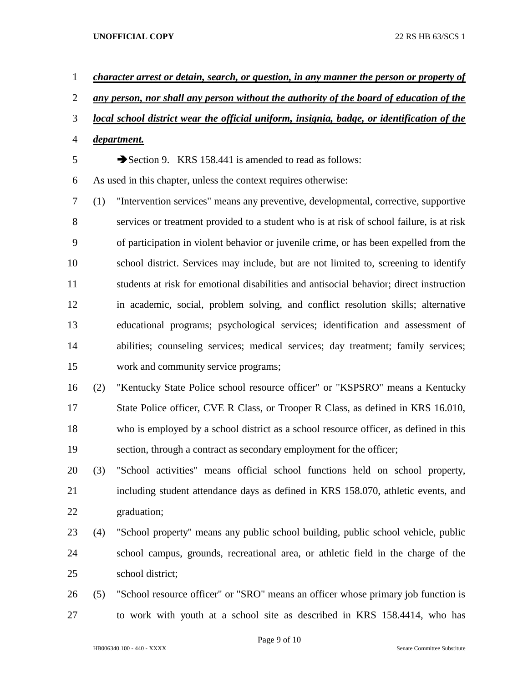| $\mathbf{1}$   |                                                                                            | character arrest or detain, search, or question, in any manner the person or property of |  |  |
|----------------|--------------------------------------------------------------------------------------------|------------------------------------------------------------------------------------------|--|--|
| $\overline{2}$ | any person, nor shall any person without the authority of the board of education of the    |                                                                                          |  |  |
| 3              | local school district wear the official uniform, insignia, badge, or identification of the |                                                                                          |  |  |
| $\overline{4}$ | department.                                                                                |                                                                                          |  |  |
| 5              | Section 9. KRS 158.441 is amended to read as follows:                                      |                                                                                          |  |  |
| 6              | As used in this chapter, unless the context requires otherwise:                            |                                                                                          |  |  |
| 7              | (1)                                                                                        | "Intervention services" means any preventive, developmental, corrective, supportive      |  |  |
| 8              |                                                                                            | services or treatment provided to a student who is at risk of school failure, is at risk |  |  |
| 9              |                                                                                            | of participation in violent behavior or juvenile crime, or has been expelled from the    |  |  |
| 10             |                                                                                            | school district. Services may include, but are not limited to, screening to identify     |  |  |
| 11             | students at risk for emotional disabilities and antisocial behavior; direct instruction    |                                                                                          |  |  |
| 12             |                                                                                            | in academic, social, problem solving, and conflict resolution skills; alternative        |  |  |
| 13             |                                                                                            | educational programs; psychological services; identification and assessment of           |  |  |
| 14             |                                                                                            | abilities; counseling services; medical services; day treatment; family services;        |  |  |
| 15             |                                                                                            | work and community service programs;                                                     |  |  |
| 16             | (2)                                                                                        | "Kentucky State Police school resource officer" or "KSPSRO" means a Kentucky             |  |  |
| 17             |                                                                                            | State Police officer, CVE R Class, or Trooper R Class, as defined in KRS 16.010,         |  |  |
| 18             |                                                                                            | who is employed by a school district as a school resource officer, as defined in this    |  |  |
| 19             |                                                                                            | section, through a contract as secondary employment for the officer;                     |  |  |
| 20             | (3)                                                                                        | "School activities" means official school functions held on school property,             |  |  |
| 21             |                                                                                            | including student attendance days as defined in KRS 158.070, athletic events, and        |  |  |
| 22             |                                                                                            | graduation;                                                                              |  |  |

- (4) "School property" means any public school building, public school vehicle, public school campus, grounds, recreational area, or athletic field in the charge of the school district;
- (5) "School resource officer" or "SRO" means an officer whose primary job function is to work with youth at a school site as described in KRS 158.4414, who has